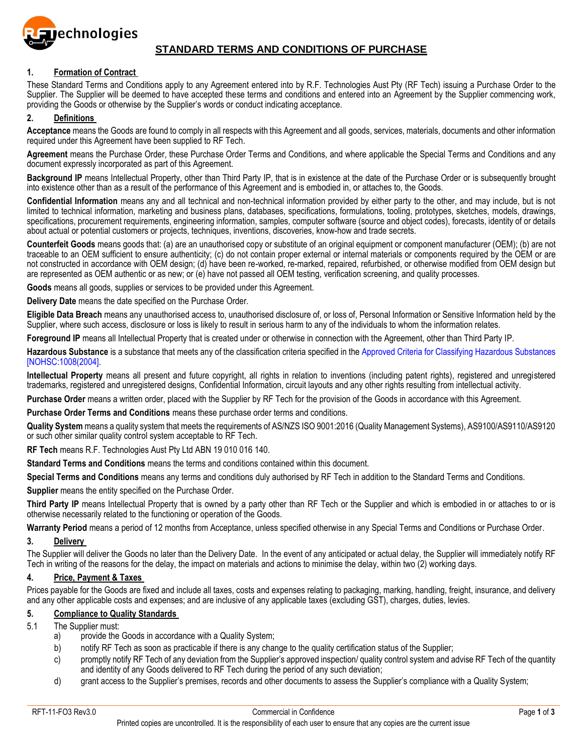

## **STANDARD TERMS AND CONDITIONS OF PURCHASE**

### **1. Formation of Contract**

These Standard Terms and Conditions apply to any Agreement entered into by R.F. Technologies Aust Pty (RF Tech) issuing a Purchase Order to the Supplier. The Supplier will be deemed to have accepted these terms and conditions and entered into an Agreement by the Supplier commencing work, providing the Goods or otherwise by the Supplier's words or conduct indicating acceptance.

## **2. Definitions**

**Acceptance** means the Goods are found to comply in all respects with this Agreement and all goods, services, materials, documents and other information required under this Agreement have been supplied to RF Tech.

**Agreement** means the Purchase Order, these Purchase Order Terms and Conditions, and where applicable the Special Terms and Conditions and any document expressly incorporated as part of this Agreement.

**Background IP** means Intellectual Property, other than Third Party IP, that is in existence at the date of the Purchase Order or is subsequently brought into existence other than as a result of the performance of this Agreement and is embodied in, or attaches to, the Goods.

**Confidential Information** means any and all technical and non-technical information provided by either party to the other, and may include, but is not limited to technical information, marketing and business plans, databases, specifications, formulations, tooling, prototypes, sketches, models, drawings, specifications, procurement requirements, engineering information, samples, computer software (source and object codes), forecasts, identity of or details about actual or potential customers or projects, techniques, inventions, discoveries, know-how and trade secrets.

**Counterfeit Goods** means goods that: (a) are an unauthorised copy or substitute of an original equipment or component manufacturer (OEM); (b) are not traceable to an OEM sufficient to ensure authenticity; (c) do not contain proper external or internal materials or components required by the OEM or are not constructed in accordance with OEM design; (d) have been re-worked, re-marked, repaired, refurbished, or otherwise modified from OEM design but are represented as OEM authentic or as new; or (e) have not passed all OEM testing, verification screening, and quality processes.

**Goods** means all goods, supplies or services to be provided under this Agreement.

**Delivery Date** means the date specified on the Purchase Order.

**Eligible Data Breach** means any unauthorised access to, unauthorised disclosure of, or loss of, Personal Information or Sensitive Information held by the Supplier, where such access, disclosure or loss is likely to result in serious harm to any of the individuals to whom the information relates.

**Foreground IP** means all Intellectual Property that is created under or otherwise in connection with the Agreement, other than Third Party IP.

Hazardous Substance is a substance that meets any of the classification criteria specified in the Approved Criteria for Classifying Hazardous Substances [NOHSC:1008(2004].

**Intellectual Property** means all present and future copyright, all rights in relation to inventions (including patent rights), registered and unregistered trademarks, registered and unregistered designs, Confidential Information, circuit layouts and any other rights resulting from intellectual activity.

**Purchase Order** means a written order, placed with the Supplier by RF Tech for the provision of the Goods in accordance with this Agreement.

**Purchase Order Terms and Conditions** means these purchase order terms and conditions.

**Quality System** means a quality system that meets the requirements of AS/NZS ISO 9001:2016 (Quality Management Systems), AS9100/AS9110/AS9120 or such other similar quality control system acceptable to RF Tech.

**RF Tech** means R.F. Technologies Aust Pty Ltd ABN 19 010 016 140.

**Standard Terms and Conditions** means the terms and conditions contained within this document.

**Special Terms and Conditions** means any terms and conditions duly authorised by RF Tech in addition to the Standard Terms and Conditions.

**Supplier** means the entity specified on the Purchase Order.

**Third Party IP** means Intellectual Property that is owned by a party other than RF Tech or the Supplier and which is embodied in or attaches to or is otherwise necessarily related to the functioning or operation of the Goods.

**Warranty Period** means a period of 12 months from Acceptance, unless specified otherwise in any Special Terms and Conditions or Purchase Order.

### **3. Delivery**

The Supplier will deliver the Goods no later than the Delivery Date. In the event of any anticipated or actual delay, the Supplier will immediately notify RF Tech in writing of the reasons for the delay, the impact on materials and actions to minimise the delay, within two (2) working days.

### **4. Price, Payment & Taxes**

Prices payable for the Goods are fixed and include all taxes, costs and expenses relating to packaging, marking, handling, freight, insurance, and delivery and any other applicable costs and expenses; and are inclusive of any applicable taxes (excluding GST), charges, duties, levies.

### **5. Compliance to Quality Standards**

## 5.1 The Supplier must:

- a) provide the Goods in accordance with a Quality System;
- b) notify RF Tech as soon as practicable if there is any change to the quality certification status of the Supplier;
- c) promptly notify RF Tech of any deviation from the Supplier's approved inspection/ quality control system and advise RF Tech of the quantity and identity of any Goods delivered to RF Tech during the period of any such deviation;
- d) grant access to the Supplier's premises, records and other documents to assess the Supplier's compliance with a Quality System;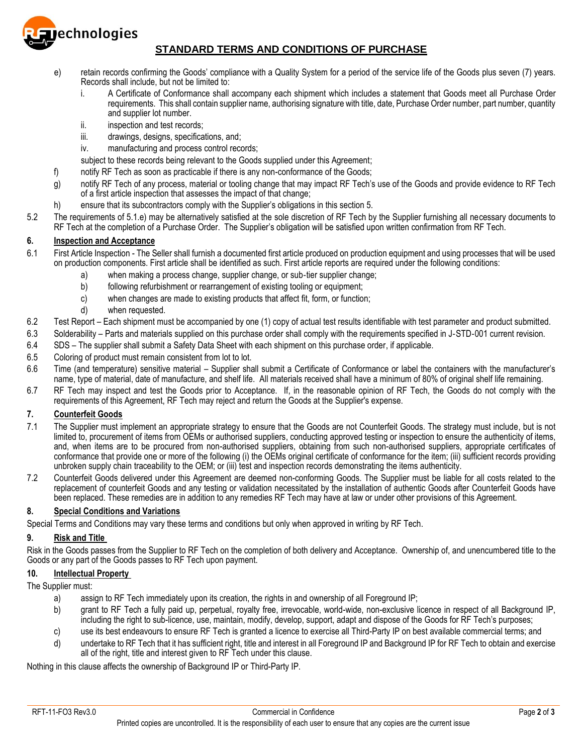

# **STANDARD TERMS AND CONDITIONS OF PURCHASE**

- e) retain records confirming the Goods' compliance with a Quality System for a period of the service life of the Goods plus seven (7) years. Records shall include, but not be limited to:
	- i. A Certificate of Conformance shall accompany each shipment which includes a statement that Goods meet all Purchase Order requirements. This shall contain supplier name, authorising signature with title, date, Purchase Order number, part number, quantity and supplier lot number.
	- ii. inspection and test records;
	- iii. drawings, designs, specifications, and;
	- iv. manufacturing and process control records;

subject to these records being relevant to the Goods supplied under this Agreement;

- f) notify RF Tech as soon as practicable if there is any non-conformance of the Goods;
- g) notify RF Tech of any process, material or tooling change that may impact RF Tech's use of the Goods and provide evidence to RF Tech of a first article inspection that assesses the impact of that change;
- h) ensure that its subcontractors comply with the Supplier's obligations in this section 5.
- 5.2 The requirements of 5.1.e) may be alternatively satisfied at the sole discretion of RF Tech by the Supplier furnishing all necessary documents to RF Tech at the completion of a Purchase Order. The Supplier's obligation will be satisfied upon written confirmation from RF Tech.

## **6. Inspection and Acceptance**

- 6.1 First Article Inspection The Seller shall furnish a documented first article produced on production equipment and using processes that will be used on production components. First article shall be identified as such. First article reports are required under the following conditions:
	- a) when making a process change, supplier change, or sub‐tier supplier change;
	- b) following refurbishment or rearrangement of existing tooling or equipment;
	- c) when changes are made to existing products that affect fit, form, or function;
	- d) when requested.
- 6.2 Test Report Each shipment must be accompanied by one (1) copy of actual test results identifiable with test parameter and product submitted.
- 6.3 Solderability Parts and materials supplied on this purchase order shall comply with the requirements specified in J‐STD‐001 current revision.
- 6.4 SDS The supplier shall submit a Safety Data Sheet with each shipment on this purchase order, if applicable.
- 6.5 Coloring of product must remain consistent from lot to lot.
- 6.6 Time (and temperature) sensitive material Supplier shall submit a Certificate of Conformance or label the containers with the manufacturer's name, type of material, date of manufacture, and shelf life. All materials received shall have a minimum of 80% of original shelf life remaining.
- 6.7 RF Tech may inspect and test the Goods prior to Acceptance. If, in the reasonable opinion of RF Tech, the Goods do not comply with the requirements of this Agreement, RF Tech may reject and return the Goods at the Supplier's expense.

## **7. Counterfeit Goods**

- 7.1 The Supplier must implement an appropriate strategy to ensure that the Goods are not Counterfeit Goods. The strategy must include, but is not limited to, procurement of items from OEMs or authorised suppliers, conducting approved testing or inspection to ensure the authenticity of items, and, when items are to be procured from non-authorised suppliers, obtaining from such non-authorised suppliers, appropriate certificates of conformance that provide one or more of the following (i) the OEMs original certificate of conformance for the item; (iii) sufficient records providing unbroken supply chain traceability to the OEM; or (iii) test and inspection records demonstrating the items authenticity.
- 7.2 Counterfeit Goods delivered under this Agreement are deemed non-conforming Goods. The Supplier must be liable for all costs related to the replacement of counterfeit Goods and any testing or validation necessitated by the installation of authentic Goods after Counterfeit Goods have been replaced. These remedies are in addition to any remedies RF Tech may have at law or under other provisions of this Agreement.

### **8. Special Conditions and Variations**

Special Terms and Conditions may vary these terms and conditions but only when approved in writing by RF Tech.

### **9. Risk and Title**

Risk in the Goods passes from the Supplier to RF Tech on the completion of both delivery and Acceptance. Ownership of, and unencumbered title to the Goods or any part of the Goods passes to RF Tech upon payment.

### **10. Intellectual Property**

The Supplier must:

- a) assign to RF Tech immediately upon its creation, the rights in and ownership of all Foreground IP;
- b) grant to RF Tech a fully paid up, perpetual, royalty free, irrevocable, world-wide, non-exclusive licence in respect of all Background IP, including the right to sub-licence, use, maintain, modify, develop, support, adapt and dispose of the Goods for RF Tech's purposes;
- c) use its best endeavours to ensure RF Tech is granted a licence to exercise all Third-Party IP on best available commercial terms; and
- d) undertake to RF Tech that it has sufficient right, title and interest in all Foreground IP and Background IP for RF Tech to obtain and exercise all of the right, title and interest given to RF Tech under this clause.

Nothing in this clause affects the ownership of Background IP or Third-Party IP.